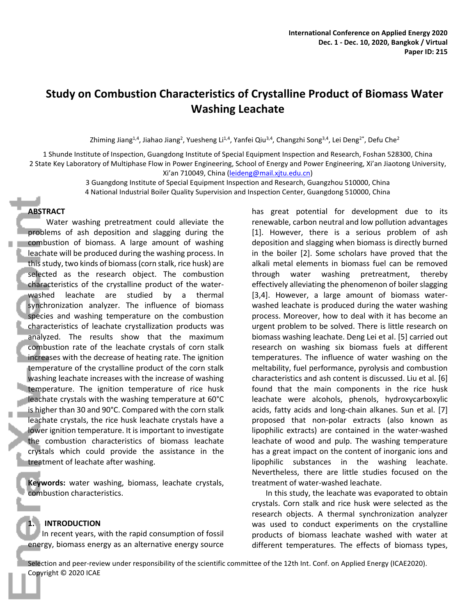# **Study on Combustion Characteristics of Crystalline Product of Biomass Water Washing Leachate**

Zhiming Jiang<sup>1,4</sup>, Jiahao Jiang<sup>2</sup>, Yuesheng Li<sup>1,4</sup>, Yanfei Qiu<sup>3,4</sup>, Changzhi Song<sup>3,4</sup>, Lei Deng<sup>2\*</sup>, Defu Che<sup>2</sup>

1 Shunde Institute of Inspection, Guangdong Institute of Special Equipment Inspection and Research, Foshan 528300, China 2 State Key Laboratory of Multiphase Flow in Power Engineering, School of Energy and Power Engineering, Xi'an Jiaotong University, Xi'an 710049, China (leideng@mail.xjtu.edu.cn)

> 3 Guangdong Institute of Special Equipment Inspection and Research, Guangzhou 510000, China 4 National Industrial Boiler Quality Supervision and Inspection Center, Guangdong 510000, China

#### **ABSTRACT**

Water washing pretreatment could alleviate the problems of ash deposition and slagging during the combustion of biomass. A large amount of washing leachate will be produced during the washing process. In this study, two kinds of biomass (corn stalk, rice husk) are selected as the research object. The combustion characteristics of the crystalline product of the waterwashed leachate are studied by a thermal synchronization analyzer. The influence of biomass species and washing temperature on the combustion characteristics of leachate crystallization products was analyzed. The results show that the maximum combustion rate of the leachate crystals of corn stalk increases with the decrease of heating rate. The ignition temperature of the crystalline product of the corn stalk washing leachate increases with the increase of washing temperature. The ignition temperature of rice husk leachate crystals with the washing temperature at 60°C is higher than 30 and 90°C. Compared with the corn stalk leachate crystals, the rice husk leachate crystals have a lower ignition temperature. It is important to investigate the combustion characteristics of biomass leachate crystals which could provide the assistance in the treatment of leachate after washing.

**Keywords:** water washing, biomass, leachate crystals, combustion characteristics.

# **1. INTRODUCTION**

In recent years, with the rapid consumption of fossil energy, biomass energy as an alternative energy source has great potential for development due to its renewable, carbon neutral and low pollution advantages [1]. However, there is a serious problem of ash deposition and slagging when biomass is directly burned in the boiler [2]. Some scholars have proved that the alkali metal elements in biomass fuel can be removed through water washing pretreatment, thereby effectively alleviating the phenomenon of boiler slagging [3,4]. However, a large amount of biomass waterwashed leachate is produced during the water washing process. Moreover, how to deal with it has become an urgent problem to be solved. There is little research on biomass washing leachate. Deng Lei et al. [5] carried out research on washing six biomass fuels at different temperatures. The influence of water washing on the meltability, fuel performance, pyrolysis and combustion characteristics and ash content is discussed. Liu et al. [6] found that the main components in the rice husk leachate were alcohols, phenols, hydroxycarboxylic acids, fatty acids and long-chain alkanes. Sun et al. [7] proposed that non-polar extracts (also known as lipophilic extracts) are contained in the water-washed leachate of wood and pulp. The washing temperature has a great impact on the content of inorganic ions and lipophilic substances in the washing leachate. Nevertheless, there are little studies focused on the treatment of water-washed leachate.

In this study, the leachate was evaporated to obtain crystals. Corn stalk and rice husk were selected as the research objects. A thermal synchronization analyzer was used to conduct experiments on the crystalline products of biomass leachate washed with water at different temperatures. The effects of biomass types,

Selection and peer-review under responsibility of the scientific committee of the 12th Int. Conf. on Applied Energy (ICAE2020). Copyright © 2020 ICAE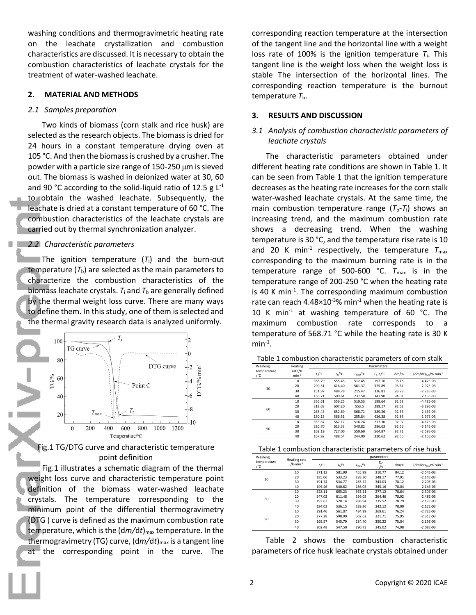washing conditions and thermogravimetric heating rate on the leachate crystallization and combustion characteristics are discussed. It is necessary to obtain the combustion characteristics of leachate crystals for the treatment of water-washed leachate.

### **2. MATERIAL AND METHODS**

### *2.1 Samples preparation*

Two kinds of biomass (corn stalk and rice husk) are selected as the research objects. The biomass is dried for 24 hours in a constant temperature drying oven at 105 °C. And then the biomass is crushed by a crusher. The powder with a particle size range of 150-250 μm is sieved out. The biomass is washed in deionized water at 30, 60 and 90 °C according to the solid-liquid ratio of 12.5 g  $L^{-1}$ to obtain the washed leachate. Subsequently, the leachate is dried at a constant temperature of 60 °C. The combustion characteristics of the leachate crystals are carried out by thermal synchronization analyzer.

## *2.2 Characteristic parameters*

The ignition temperature (*T*i) and the burn-out temperature  $(T_b)$  are selected as the main parameters to characterize the combustion characteristics of the biomass leachate crystals.  $T_i$  and  $T_b$  are generally defined by the thermal weight loss curve. There are many ways to define them. In this study, one of them is selected and the thermal gravity research data is analyzed uniformly.



Fig.1 TG/DTG curve and characteristic temperature point definition

Fig.1 illustrates a schematic diagram of the thermal weight loss curve and characteristic temperature point definition of the biomass water-washed leachate crystals. The temperature corresponding to the minimum point of the differential thermogravimetry (DTG ) curve is defined as the maximum combustion rate temperature, which is the  $\frac{dm}{dt}$ <sub>max</sub> temperature. In the thermogravimetry (TG) curve, (d*m/*d*t*)max is a tangent line at the corresponding point in the curve. The

corresponding reaction temperature at the intersection of the tangent line and the horizontal line with a weight loss rate of 100% is the ignition temperature  $T_i$ . This tangent line is the weight loss when the weight loss is stable The intersection of the horizontal lines. The corresponding reaction temperature is the burnout temperature  $T<sub>b</sub>$ .

# **3. RESULTS AND DISCUSSION**

# *3.1 Analysis of combustion characteristic parameters of leachate crystals*

The characteristic parameters obtained under different heating rate conditions are shown in Table 1. It can be seen from Table 1 that the ignition temperature decreases as the heating rate increases for the corn stalk water-washed leachate crystals. At the same time, the main combustion temperature range  $(T_b-T_i)$  shows an increasing trend, and the maximum combustion rate shows a decreasing trend. When the washing temperature is 30 °C, and the temperature rise rate is 10 and 20 K min<sup>-1</sup> respectively, the temperature  $T_{\text{max}}$ corresponding to the maximum burning rate is in the temperature range of 500-600  $°C. T_{max}$  is in the temperature range of 200-250 °C when the heating rate is 40 K min<sup>-1</sup>. The corresponding maximum combustion rate can reach 4.48 $\times$ 10<sup>-3</sup>% min<sup>-1</sup> when the heating rate is 10 K min<sup>-1</sup> at washing temperature of 60  $^{\circ}$ C. The maximum combustion rate corresponds to a temperature of 568.71 °C while the heating rate is 30 K  $min^{-1}$ .

| Table 1 combustion characteristic parameters of corn stalk |  |
|------------------------------------------------------------|--|
|------------------------------------------------------------|--|

| Washing            | Heating<br>rate/K<br>$min-1$ | Parameters           |                    |                            |                            |         |                                      |  |
|--------------------|------------------------------|----------------------|--------------------|----------------------------|----------------------------|---------|--------------------------------------|--|
| temperature<br>/°C |                              | $T_1$ <sup>o</sup> C | T <sub>b</sub> /°C | $T_{\text{max}}/^{\circ}C$ | $T_b - T_l$ <sup>o</sup> C | $dm/\%$ | $(dm/dt)_{max}/%$ ·min <sup>-1</sup> |  |
| 30                 | 10                           | 358.29               | 555.45             | 512.45                     | 197.16                     | 93.16   | $-4.42E - 03$                        |  |
|                    | 20                           | 290.51               | 616.40             | 561.37                     | 325.89                     | 93.61   | $-2.92E - 03$                        |  |
|                    | 30                           | 151.97               | 488.78             | 215.47                     | 336.81                     | 93.78   | $-2.28E - 03$                        |  |
|                    | 40                           | 156.71               | 500.61             | 237.58                     | 343.90                     | 94.01   | $-2.15E - 03$                        |  |
| 60                 | 10                           | 356.61               | 556.25             | 519.53                     | 199.64                     | 92.63   | $-4.48E - 03$                        |  |
|                    | 20                           | 318.03               | 607.20             | 553.5                      | 289.17                     | 92.63   | $-3.29E - 03$                        |  |
|                    | 30                           | 263.43               | 652.69             | 568.71                     | 389.26                     | 92.56   | $-2.46E - 03$                        |  |
|                    | 40                           | 150.13               | 586.51             | 255.84                     | 436.38                     | 92.83   | $-1.97E-03$                          |  |
| 90                 | 10                           | 353.87               | 567.17             | 516.24                     | 213.30                     | 92.97   | $-4.17E-03$                          |  |
|                    | 20                           | 326.70               | 613.33             | 540.82                     | 286.63                     | 92.56   | $-3.14E - 03$                        |  |
|                    | 30                           | 162.19               | 727.06             | 559.69                     | 564.87                     | 92.71   | $-2.59E - 03$                        |  |
|                    | 40                           | 167.92               | 488.54             | 244.00                     | 320.62                     | 92.56   | $-2.16E - 03$                        |  |

| Washing<br>temperature<br>/°C | Heating rate<br>$/K·min-1$ | parameters      |                   |                                 |                                   |         |                                     |  |
|-------------------------------|----------------------------|-----------------|-------------------|---------------------------------|-----------------------------------|---------|-------------------------------------|--|
|                               |                            | $T/{}^{\circ}C$ | $T_h/{}^{\circ}C$ | $T_{\text{max}}$ <sup>o</sup> C | $T_{b}$ -<br>$T_1$ <sup>o</sup> C | $dm$ /% | $(dm/dt)_{max}/%$ min <sup>-1</sup> |  |
| 30                            | 10                         | 271.13          | 581.90            | 455.99                          | 310.77                            | 84.12   | $-2.54F - 03$                       |  |
|                               | 20                         | 185.06          | 533.23            | 288.30                          | 348.17                            | 77.91   | $-2.14E - 03$                       |  |
|                               | 30                         | 191.74          | 534.77            | 285.22                          | 343.03                            | 78.12   | $-2.20E - 03$                       |  |
|                               | 40                         | 195.46          | 540.62            | 286.03                          | 345.16                            | 78.04   | $-2.14E - 03$                       |  |
| 60                            | 10                         | 328.11          | 605.23            | 563.11                          | 277.12                            | 78.64   | $-2.30E - 03$                       |  |
|                               | 20                         | 347.02          | 611.48            | 556.05                          | 264.46                            | 78.92   | $-2.48F - 03$                       |  |
|                               | 30                         | 192.62          | 528.14            | 288.94                          | 335.52                            | 78.79   | $-2.17E-03$                         |  |
|                               | 40                         | 194.03          | 536.15            | 289.96                          | 342.12                            | 78.99   | $-2.12E - 03$                       |  |
| 90                            | 10                         | 291.46          | 561.07            | 484.99                          | 269.61                            | 76.24   | $-2.72E - 03$                       |  |
|                               | 20                         | 277.28          | 598.99            | 502.62                          | 321.71                            | 75.95   | $-2.31E - 03$                       |  |
|                               | 30                         | 195.57          | 545.79            | 284.40                          | 350.22                            | 75.04   | $-2.19E - 03$                       |  |
|                               | 40                         | 202.48          | 547.50            | 290.73                          | 345.02                            | 74.98   | $-2.08E - 03$                       |  |

Table 2 shows the combustion characteristic parameters of rice husk leachate crystals obtained under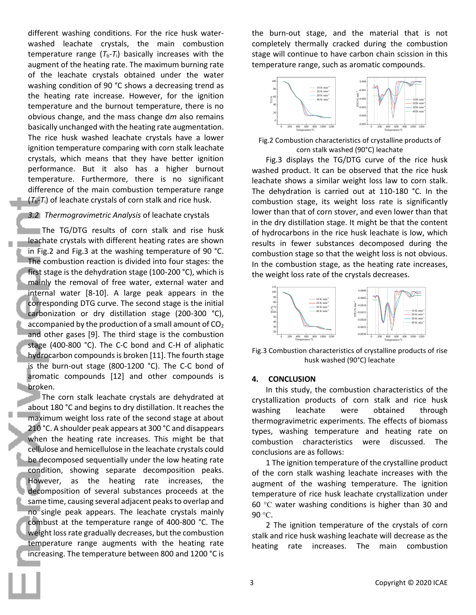different washing conditions. For the rice husk waterwashed leachate crystals, the main combustion temperature range  $(T_b-T_i)$  basically increases with the augment of the heating rate. The maximum burning rate of the leachate crystals obtained under the water washing condition of 90 °C shows a decreasing trend as the heating rate increase. However, for the ignition temperature and the burnout temperature, there is no obvious change, and the mass change d*m* also remains basically unchanged with the heating rate augmentation. The rice husk washed leachate crystals have a lower ignition temperature comparing with corn stalk leachate crystals, which means that they have better ignition performance. But it also has a higher burnout temperature. Furthermore, there is no significant difference of the main combustion temperature range (*T*b-*T*i) of leachate crystals of corn stalk and rice husk.

#### *3.2 Thermogravimetric Analysis* of leachate crystals

The TG/DTG results of corn stalk and rise husk leachate crystals with different heating rates are shown in Fig.2 and Fig.3 at the washing temperature of 90 °C. The combustion reaction is divided into four stages: the first stage is the dehydration stage (100-200 °C), which is mainly the removal of free water, external water and internal water [8-10]. A large peak appears in the corresponding DTG curve. The second stage is the initial carbonization or dry distillation stage (200-300 °C), accompanied by the production of a small amount of  $CO<sub>2</sub>$ and other gases [9]. The third stage is the combustion stage (400-800 °C). The C-C bond and C-H of aliphatic hydrocarbon compounds is broken [11]. The fourth stage is the burn-out stage (800-1200 °C). The C-C bond of aromatic compounds [12] and other compounds is broken.

The corn stalk leachate crystals are dehydrated at about 180 °C and begins to dry distillation. It reaches the maximum weight loss rate of the second stage at about 210 °C. A shoulder peak appears at 300 °C and disappears when the heating rate increases. This might be that cellulose and hemicellulose in the leachate crystals could be decomposed sequentially under the low heating rate condition, showing separate decomposition peaks. However, as the heating rate increases, the decomposition of several substances proceeds at the same time, causing several adjacent peaks to overlap and no single peak appears. The leachate crystals mainly combust at the temperature range of 400-800 °C. The weight loss rate gradually decreases, but the combustion temperature range augments with the heating rate increasing. The temperature between 800 and 1200 °C is

the burn-out stage, and the material that is not completely thermally cracked during the combustion stage will continue to have carbon chain scission in this temperature range, such as aromatic compounds.



Fig.2 Combustion characteristics of crystalline products of corn stalk washed (90°C) leachate

Fig.3 displays the TG/DTG curve of the rice husk washed product. It can be observed that the rice husk leachate shows a similar weight loss law to corn stalk. The dehydration is carried out at 110-180 °C. In the combustion stage, its weight loss rate is significantly lower than that of corn stover, and even lower than that in the dry distillation stage. It might be that the content of hydrocarbons in the rice husk leachate is low, which results in fewer substances decomposed during the combustion stage so that the weight loss is not obvious. In the combustion stage, as the heating rate increases, the weight loss rate of the crystals decreases.



Fig.3 Combustion characteristics of crystalline products of rise husk washed (90°C) leachate

#### **4. CONCLUSION**

In this study, the combustion characteristics of the crystallization products of corn stalk and rice husk washing leachate were obtained through thermogravimetric experiments. The effects of biomass types, washing temperature and heating rate on combustion characteristics were discussed. The conclusions are as follows:

1 The ignition temperature of the crystalline product of the corn stalk washing leachate increases with the augment of the washing temperature. The ignition temperature of rice husk leachate crystallization under 60 °C water washing conditions is higher than 30 and 90 °C.

2 The ignition temperature of the crystals of corn stalk and rice husk washing leachate will decrease as the heating rate increases. The main combustion